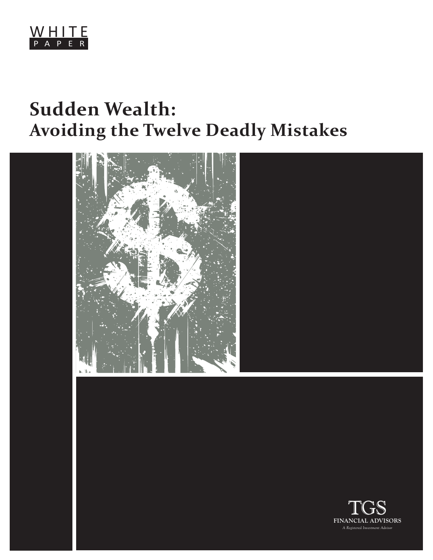

## **Sudden Wealth: Avoiding the Twelve Deadly Mistakes**



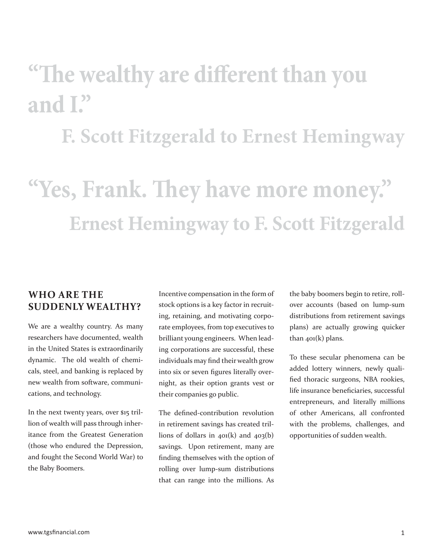# **"The wealthy are different than you and I."**

## **F. Scott Fitzgerald to Ernest Hemingway**

# **"Yes, Frank. They have more money." Ernest Hemingway to F. Scott Fitzgerald**

## **WHO ARE THE SUDDENLY WEALTHY?**

We are a wealthy country. As many researchers have documented, wealth in the United States is extraordinarily dynamic. The old wealth of chemicals, steel, and banking is replaced by new wealth from software, communications, and technology.

In the next twenty years, over \$15 trillion of wealth will pass through inheritance from the Greatest Generation (those who endured the Depression, and fought the Second World War) to the Baby Boomers.

Incentive compensation in the form of stock options is a key factor in recruiting, retaining, and motivating corporate employees, from top executives to brilliant young engineers. When leading corporations are successful, these individuals may find their wealth grow into six or seven figures literally overnight, as their option grants vest or their companies go public.

The defined-contribution revolution in retirement savings has created trillions of dollars in  $401(k)$  and  $403(b)$ savings. Upon retirement, many are finding themselves with the option of rolling over lump-sum distributions that can range into the millions. As

the baby boomers begin to retire, rollover accounts (based on lump-sum distributions from retirement savings plans) are actually growing quicker than 401(k) plans.

To these secular phenomena can be added lottery winners, newly qualified thoracic surgeons, NBA rookies, life insurance beneficiaries, successful entrepreneurs, and literally millions of other Americans, all confronted with the problems, challenges, and opportunities of sudden wealth.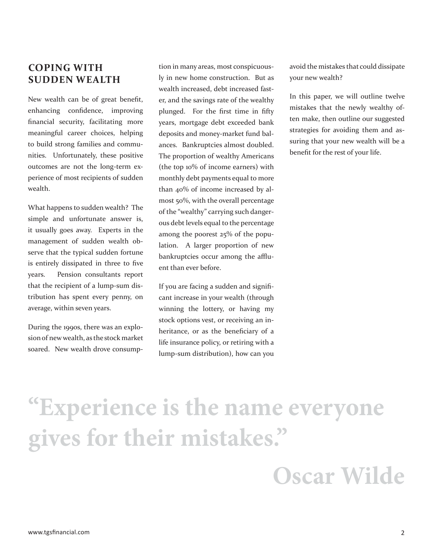## **COPING WITH SUDDEN WEALTH**

New wealth can be of great benefit, enhancing confidence, improving financial security, facilitating more meaningful career choices, helping to build strong families and communities. Unfortunately, these positive outcomes are not the long-term experience of most recipients of sudden wealth.

What happens to sudden wealth? The simple and unfortunate answer is, it usually goes away. Experts in the management of sudden wealth observe that the typical sudden fortune is entirely dissipated in three to five years. Pension consultants report that the recipient of a lump-sum distribution has spent every penny, on average, within seven years.

During the 1990s, there was an explosion of new wealth, as the stock market soared. New wealth drove consump-

tion in many areas, most conspicuously in new home construction. But as wealth increased, debt increased faster, and the savings rate of the wealthy plunged. For the first time in fifty years, mortgage debt exceeded bank deposits and money-market fund balances. Bankruptcies almost doubled. The proportion of wealthy Americans (the top 10% of income earners) with monthly debt payments equal to more than 40% of income increased by almost 50%, with the overall percentage of the "wealthy" carrying such dangerous debt levels equal to the percentage among the poorest 25% of the population. A larger proportion of new bankruptcies occur among the affluent than ever before.

If you are facing a sudden and significant increase in your wealth (through winning the lottery, or having my stock options vest, or receiving an inheritance, or as the beneficiary of a life insurance policy, or retiring with a lump-sum distribution), how can you

avoid the mistakes that could dissipate your new wealth?

In this paper, we will outline twelve mistakes that the newly wealthy often make, then outline our suggested strategies for avoiding them and assuring that your new wealth will be a benefit for the rest of your life.

# **"Experience is the name everyone gives for their mistakes."**

## **Oscar Wilde**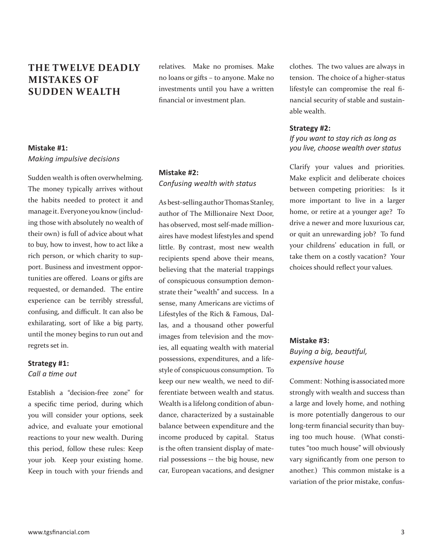## **THE TWELVE DEADLY MISTAKES OF SUDDEN WEALTH**

## **Mistake #1:**  *Making impulsive decisions*

Sudden wealth is often overwhelming. The money typically arrives without the habits needed to protect it and manage it. Everyone you know (including those with absolutely no wealth of their own) is full of advice about what to buy, how to invest, how to act like a rich person, or which charity to support. Business and investment opportunities are offered. Loans or gifts are requested, or demanded. The entire experience can be terribly stressful, confusing, and difficult. It can also be exhilarating, sort of like a big party, until the money begins to run out and regrets set in.

#### **Strategy #1:**  *Call a ti me out*

Establish a "decision-free zone" for a specific time period, during which you will consider your options, seek advice, and evaluate your emotional reactions to your new wealth. During this period, follow these rules: Keep your job. Keep your existing home. Keep in touch with your friends and relatives. Make no promises. Make no loans or gifts – to anyone. Make no investments until you have a written financial or investment plan.

## **Mistake #2:**  *Confusing wealth with status*

As best-selling author Thomas Stanley, author of The Millionaire Next Door, has observed, most self-made millionaires have modest lifestyles and spend little. By contrast, most new wealth recipients spend above their means, believing that the material trappings of conspicuous consumption demonstrate their "wealth" and success. In a sense, many Americans are victims of Lifestyles of the Rich & Famous, Dallas, and a thousand other powerful images from television and the movies, all equating wealth with material possessions, expenditures, and a lifestyle of conspicuous consumption. To keep our new wealth, we need to differentiate between wealth and status. Wealth is a lifelong condition of abundance, characterized by a sustainable balance between expenditure and the income produced by capital. Status is the often transient display of material possessions -- the big house, new car, European vacations, and designer

clothes. The two values are always in tension. The choice of a higher-status lifestyle can compromise the real financial security of stable and sustainable wealth.

#### **Strategy #2:**

### *If you want to stay rich as long as you live, choose wealth over status*

Clarify your values and priorities. Make explicit and deliberate choices between competing priorities: Is it more important to live in a larger home, or retire at a younger age? To drive a newer and more luxurious car, or quit an unrewarding job? To fund your childrens' education in full, or take them on a costly vacation? Your choices should reflect your values.

## **Mistake #3:**  *Buying a big, beauti ful, expensive house*

Comment: Nothing is associated more strongly with wealth and success than a large and lovely home, and nothing is more potentially dangerous to our long-term financial security than buying too much house. (What constitutes "too much house" will obviously vary significantly from one person to another.) This common mistake is a variation of the prior mistake, confus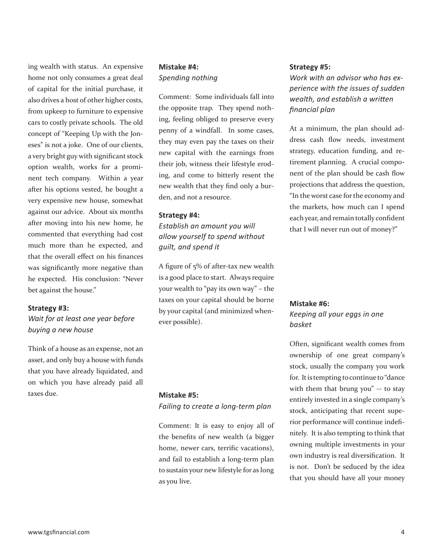ing wealth with status. An expensive home not only consumes a great deal of capital for the initial purchase, it also drives a host of other higher costs, from upkeep to furniture to expensive cars to costly private schools. The old concept of "Keeping Up with the Joneses" is not a joke. One of our clients, a very bright guy with significant stock option wealth, works for a prominent tech company. Within a year after his options vested, he bought a very expensive new house, somewhat against our advice. About six months after moving into his new home, he commented that everything had cost much more than he expected, and that the overall effect on his finances was significantly more negative than he expected. His conclusion: "Never bet against the house."

#### **Strategy #3:**

*Wait for at least one year before buying a new house* 

Think of a house as an expense, not an asset, and only buy a house with funds that you have already liquidated, and on which you have already paid all taxes due.

#### **Mistake #4:**  *Spending nothing*

Comment: Some individuals fall into the opposite trap. They spend nothing, feeling obliged to preserve every penny of a windfall. In some cases, they may even pay the taxes on their new capital with the earnings from their job, witness their lifestyle eroding, and come to bitterly resent the new wealth that they find only a burden, and not a resource.

#### **Strategy #4:**

*Establish an amount you will allow yourself to spend without guilt, and spend it*

A figure of  $5\%$  of after-tax new wealth is a good place to start. Always require your wealth to "pay its own way" – the taxes on your capital should be borne by your capital (and minimized whenever possible).

#### **Mistake #5:**

*Failing to create a long-term plan*

Comment: It is easy to enjoy all of the benefits of new wealth (a bigger home, newer cars, terrific vacations), and fail to establish a long-term plan to sustain your new lifestyle for as long as you live.

#### **Strategy #5:**

*Work with an advisor who has experience with the issues of sudden wealth, and establish a written fi nancial plan*

At a minimum, the plan should address cash flow needs, investment strategy, education funding, and retirement planning. A crucial component of the plan should be cash flow projections that address the question, "In the worst case for the economy and the markets, how much can I spend each year, and remain totally confident that I will never run out of money?"

#### **Mistake #6:**

*Keeping all your eggs in one basket*

Often, significant wealth comes from ownership of one great company's stock, usually the company you work for. It is tempting to continue to "dance with them that brung you" -- to stay entirely invested in a single company's stock, anticipating that recent superior performance will continue indefinitely. It is also tempting to think that owning multiple investments in your own industry is real diversification. It is not. Don't be seduced by the idea that you should have all your money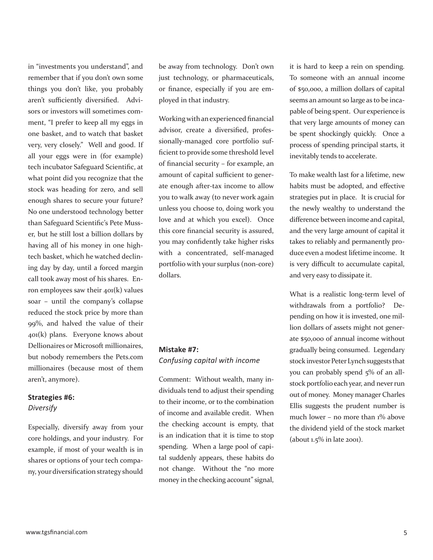in "investments you understand", and remember that if you don't own some things you don't like, you probably aren't sufficiently diversified. Advisors or investors will sometimes comment, "I prefer to keep all my eggs in one basket, and to watch that basket very, very closely." Well and good. If all your eggs were in (for example) tech incubator Safeguard Scientific, at what point did you recognize that the stock was heading for zero, and sell enough shares to secure your future? No one understood technology better than Safeguard Scientific's Pete Musser, but he still lost a billion dollars by having all of his money in one hightech basket, which he watched declining day by day, until a forced margin call took away most of his shares. Enron employees saw their  $401(k)$  values soar – until the company's collapse reduced the stock price by more than 99%, and halved the value of their 401(k) plans. Everyone knows about Dellionaires or Microsoft millionaires, but nobody remembers the Pets.com millionaires (because most of them aren't, anymore).

## **Strategies #6:**

*Diversify* 

Especially, diversify away from your core holdings, and your industry. For example, if most of your wealth is in shares or options of your tech company, your diversification strategy should be away from technology. Don't own just technology, or pharmaceuticals, or finance, especially if you are employed in that industry.

Working with an experienced financial advisor, create a diversified, professionally-managed core portfolio sufficient to provide some threshold level of financial security - for example, an amount of capital sufficient to generate enough after-tax income to allow you to walk away (to never work again unless you choose to, doing work you love and at which you excel). Once this core financial security is assured, you may confidently take higher risks with a concentrated, self-managed portfolio with your surplus (non-core) dollars.

#### **Mistake #7:**

*Confusing capital with income*

Comment: Without wealth, many individuals tend to adjust their spending to their income, or to the combination of income and available credit. When the checking account is empty, that is an indication that it is time to stop spending. When a large pool of capital suddenly appears, these habits do not change. Without the "no more money in the checking account" signal,

it is hard to keep a rein on spending. To someone with an annual income of \$50,000, a million dollars of capital seems an amount so large as to be incapable of being spent. Our experience is that very large amounts of money can be spent shockingly quickly. Once a process of spending principal starts, it inevitably tends to accelerate.

To make wealth last for a lifetime, new habits must be adopted, and effective strategies put in place. It is crucial for the newly wealthy to understand the difference between income and capital, and the very large amount of capital it takes to reliably and permanently produce even a modest lifetime income. It is very difficult to accumulate capital, and very easy to dissipate it.

What is a realistic long-term level of withdrawals from a portfolio? Depending on how it is invested, one million dollars of assets might not generate \$50,000 of annual income without gradually being consumed. Legendary stock investor Peter Lynch suggests that you can probably spend 5% of an allstock portfolio each year, and never run out of money. Money manager Charles Ellis suggests the prudent number is much lower – no more than 1% above the dividend yield of the stock market (about 1.5% in late 2001).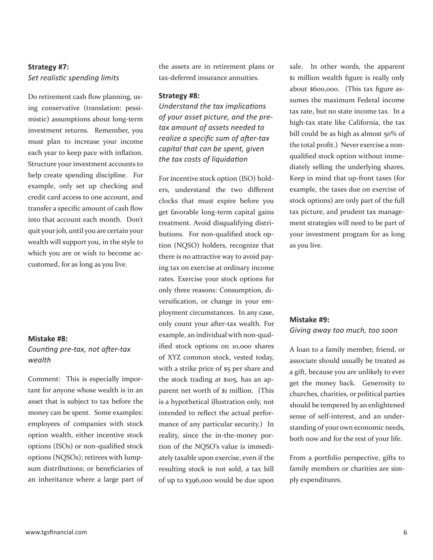### **Strategy #7:**  *Set realisti c spending limits*

Do retirement cash flow planning, using conservative (translation: pessimistic) assumptions about long-term investment returns. Remember, you must plan to increase your income each year to keep pace with inflation. Structure your investment accounts to help create spending discipline. For example, only set up checking and credit card access to one account, and transfer a specific amount of cash flow into that account each month. Don't quit your job, until you are certain your wealth will support you, in the style to which you are or wish to become accustomed, for as long as you live.

#### **Mistake #8:**

#### *Counting pre-tax, not after-tax wealth*

Comment: This is especially important for anyone whose wealth is in an asset that is subject to tax before the money can be spent. Some examples: employees of companies with stock option wealth, either incentive stock options (ISOs) or non-qualified stock options (NQSOs); retirees with lumpsum distributions; or beneficiaries of an inheritance where a large part of the assets are in retirement plans or tax-deferred insurance annuities.

#### **Strategy #8:**

*<u>Understand the tax implications</u> of your asset picture, and the pretax amount of assets needed to realize a specific sum of after-tax capital that can be spent, given the tax costs of liquidati on*

For incentive stock option (ISO) holders, understand the two different clocks that must expire before you get favorable long-term capital gains treatment. Avoid disqualifying distributions. For non-qualified stock option (NQSO) holders, recognize that there is no attractive way to avoid paying tax on exercise at ordinary income rates. Exercise your stock options for only three reasons: Consumption, diversification, or change in your employment circumstances. In any case, only count your after-tax wealth. For example, an individual with non-qualified stock options on 10,000 shares of XYZ common stock, vested today, with a strike price of \$5 per share and the stock trading at \$105, has an apparent net worth of \$1 million. (This is a hypothetical illustration only, not intended to reflect the actual performance of any particular security.) In reality, since the in-the-money portion of the NQSO's value is immediately taxable upon exercise, even if the resulting stock is not sold, a tax bill of up to \$396,000 would be due upon

sale. In other words, the apparent \$1 million wealth figure is really only about \$600,000. (This tax figure assumes the maximum Federal income tax rate, but no state income tax. In a high-tax state like California, the tax bill could be as high as almost 50% of the total profit.) Never exercise a nonqualified stock option without immediately selling the underlying shares. Keep in mind that up-front taxes (for example, the taxes due on exercise of stock options) are only part of the full tax picture, and prudent tax management strategies will need to be part of your investment program for as long as you live.

## **Mistake #9:**  *Giving away too much, too soon*

A loan to a family member, friend, or associate should usually be treated as a gift, because you are unlikely to ever get the money back. Generosity to churches, charities, or political parties should be tempered by an enlightened sense of self-interest, and an understanding of your own economic needs, both now and for the rest of your life.

From a portfolio perspective, gifts to family members or charities are simply expenditures.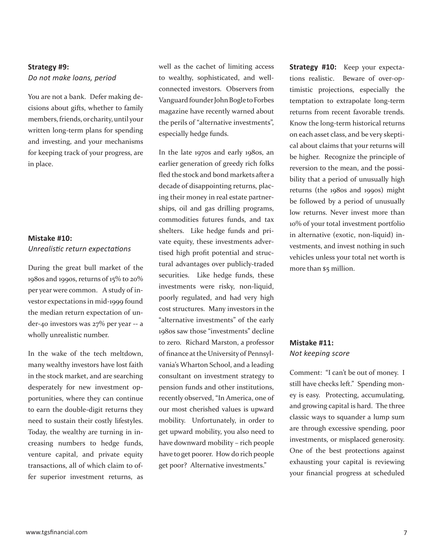## **Strategy #9:** *Do not make loans, period*

You are not a bank. Defer making decisions about gifts, whether to family members, friends, or charity, until your written long-term plans for spending and investing, and your mechanisms for keeping track of your progress, are in place.

#### **Mistake #10:**  *Unrealisti c return expectati ons*

During the great bull market of the 1980s and 1990s, returns of 15% to 20% per year were common. A study of investor expectations in mid-1999 found the median return expectation of under-40 investors was 27% per year -- a wholly unrealistic number.

In the wake of the tech meltdown, many wealthy investors have lost faith in the stock market, and are searching desperately for new investment opportunities, where they can continue to earn the double-digit returns they need to sustain their costly lifestyles. Today, the wealthy are turning in increasing numbers to hedge funds, venture capital, and private equity transactions, all of which claim to offer superior investment returns, as well as the cachet of limiting access to wealthy, sophisticated, and wellconnected investors. Observers from Vanguard founder John Bogle to Forbes magazine have recently warned about the perils of "alternative investments", especially hedge funds.

In the late 1970s and early 1980s, an earlier generation of greedy rich folks fled the stock and bond markets after a decade of disappointing returns, placing their money in real estate partnerships, oil and gas drilling programs, commodities futures funds, and tax shelters. Like hedge funds and private equity, these investments advertised high profit potential and structural advantages over publicly-traded securities. Like hedge funds, these investments were risky, non-liquid, poorly regulated, and had very high cost structures. Many investors in the "alternative investments" of the early 1980s saw those "investments" decline to zero. Richard Marston, a professor of finance at the University of Pennsylvania's Wharton School, and a leading consultant on investment strategy to pension funds and other institutions, recently observed, "In America, one of our most cherished values is upward mobility. Unfortunately, in order to get upward mobility, you also need to have downward mobility – rich people have to get poorer. How do rich people get poor? Alternative investments."

**Strategy #10:** Keep your expectations realistic. Beware of over-optimistic projections, especially the temptation to extrapolate long-term returns from recent favorable trends. Know the long-term historical returns on each asset class, and be very skeptical about claims that your returns will be higher. Recognize the principle of reversion to the mean, and the possibility that a period of unusually high returns (the 1980s and 1990s) might be followed by a period of unusually low returns. Never invest more than 10% of your total investment portfolio in alternative (exotic, non-liquid) investments, and invest nothing in such vehicles unless your total net worth is more than \$5 million.

### **Mistake #11:**  *Not keeping score*

Comment: "I can't be out of money. I still have checks left." Spending money is easy. Protecting, accumulating, and growing capital is hard. The three classic ways to squander a lump sum are through excessive spending, poor investments, or misplaced generosity. One of the best protections against exhausting your capital is reviewing your financial progress at scheduled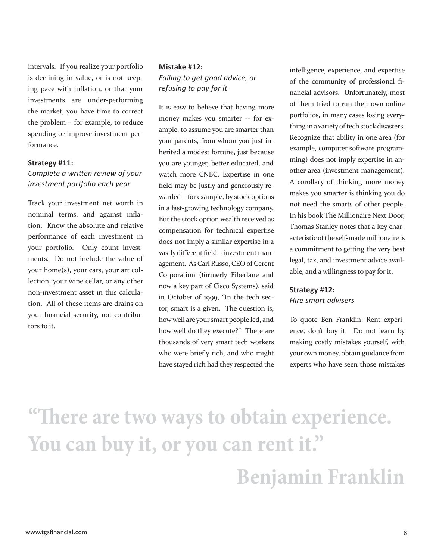intervals. If you realize your portfolio is declining in value, or is not keeping pace with inflation, or that your investments are under-performing the market, you have time to correct the problem – for example, to reduce spending or improve investment performance.

#### **Strategy #11:**

#### *Complete a written review of your investment portf olio each year*

Track your investment net worth in nominal terms, and against inflation. Know the absolute and relative performance of each investment in your portfolio. Only count investments. Do not include the value of your home(s), your cars, your art collection, your wine cellar, or any other non-investment asset in this calculation. All of these items are drains on your financial security, not contributors to it.

#### **Mistake #12:**

*Failing to get good advice, or refusing to pay for it*

It is easy to believe that having more money makes you smarter -- for example, to assume you are smarter than your parents, from whom you just inherited a modest fortune, just because you are younger, better educated, and watch more CNBC. Expertise in one field may be justly and generously rewarded – for example, by stock options in a fast-growing technology company. But the stock option wealth received as compensation for technical expertise does not imply a similar expertise in a vastly different field - investment management. As Carl Russo, CEO of Cerent Corporation (formerly Fiberlane and now a key part of Cisco Systems), said in October of 1999, "In the tech sector, smart is a given. The question is, how well are your smart people led, and how well do they execute?" There are thousands of very smart tech workers who were briefly rich, and who might have stayed rich had they respected the

intelligence, experience, and expertise of the community of professional financial advisors. Unfortunately, most of them tried to run their own online portfolios, in many cases losing everything in a variety of tech stock disasters. Recognize that ability in one area (for example, computer software programming) does not imply expertise in another area (investment management). A corollary of thinking more money makes you smarter is thinking you do not need the smarts of other people. In his book The Millionaire Next Door, Thomas Stanley notes that a key characteristic of the self-made millionaire is a commitment to getting the very best legal, tax, and investment advice available, and a willingness to pay for it.

#### **Strategy #12:** *Hire smart advisers*

To quote Ben Franklin: Rent experi-

ence, don't buy it. Do not learn by making costly mistakes yourself, with your own money, obtain guidance from experts who have seen those mistakes

# **"Th ere are two ways to obtain experience. You can buy it, or you can rent it." Benjamin Franklin**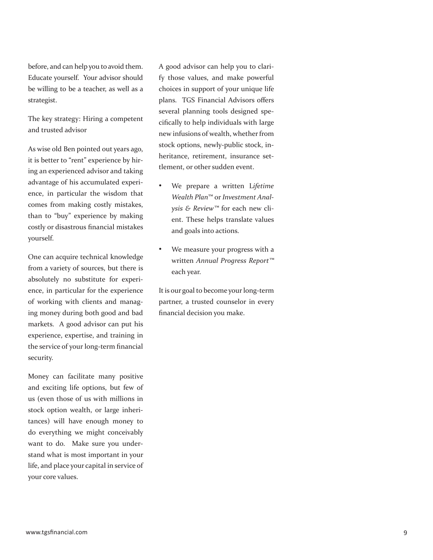before, and can help you to avoid them. Educate yourself. Your advisor should be willing to be a teacher, as well as a strategist.

The key strategy: Hiring a competent and trusted advisor

As wise old Ben pointed out years ago, it is better to "rent" experience by hiring an experienced advisor and taking advantage of his accumulated experience, in particular the wisdom that comes from making costly mistakes, than to "buy" experience by making costly or disastrous financial mistakes yourself.

One can acquire technical knowledge from a variety of sources, but there is absolutely no substitute for experience, in particular for the experience of working with clients and managing money during both good and bad markets. A good advisor can put his experience, expertise, and training in the service of your long-term financial security.

Money can facilitate many positive and exciting life options, but few of us (even those of us with millions in stock option wealth, or large inheritances) will have enough money to do everything we might conceivably want to do. Make sure you understand what is most important in your life, and place your capital in service of your core values.

A good advisor can help you to clarify those values, and make powerful choices in support of your unique life plans. TGS Financial Advisors offers several planning tools designed specifically to help individuals with large new infusions of wealth, whether from stock options, newly-public stock, inheritance, retirement, insurance settlement, or other sudden event.

- We prepare a written L*ifetime Wealth Plan*™ or *Investment Analysis & Review™* for each new client. These helps translate values and goals into actions.
- We measure your progress with a written *Annual Progress Report™* each year.

It is our goal to become your long-term partner, a trusted counselor in every<br>financial decision you make.